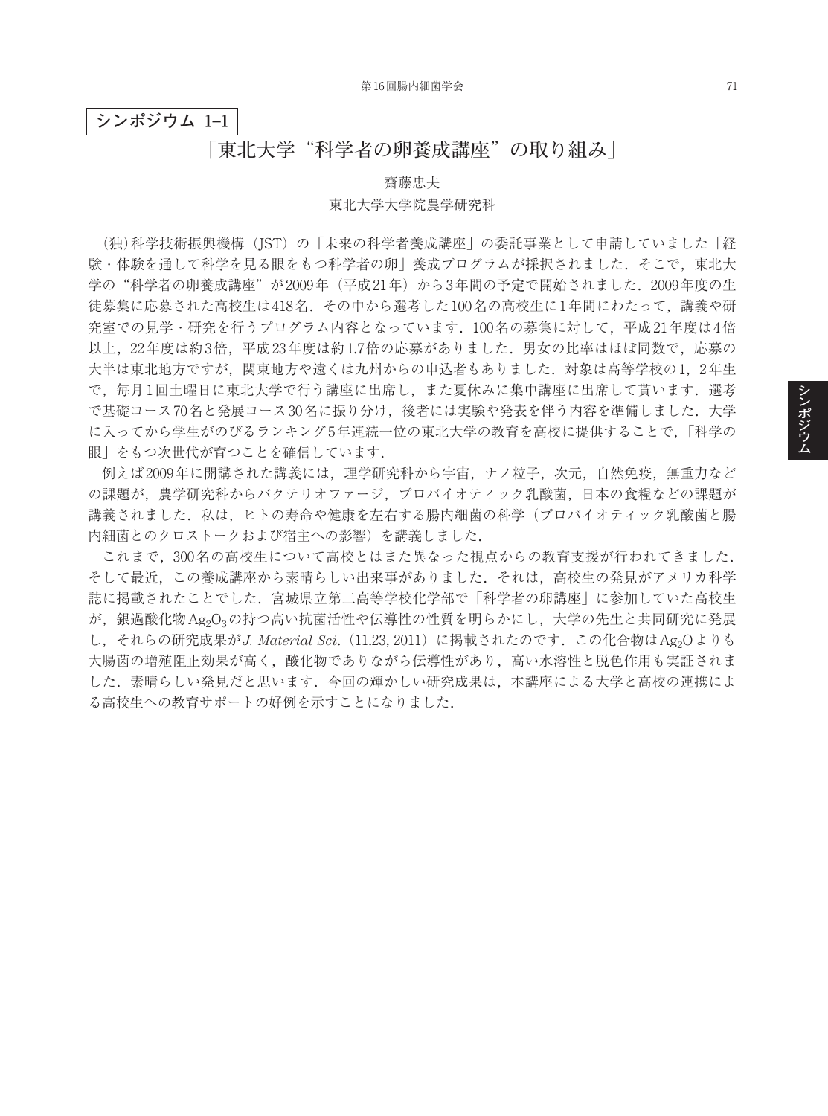## **シンポジウム 1–1**

## **「東北大学"科学者の卵養成講座"の取り組み」**

## 齋藤忠夫 東北大学大学院農学研究科

(独)科学技術振興機構(JST)の「未来の科学者養成講座」の委託事業として申請していました「経 験・体験を通して科学を見る眼をもつ科学者の卵」養成プログラムが採択されました. そこで, 東北大 学の"科学者の卵養成講座"が2009年(平成21年)から3年間の予定で開始されました. 2009年度の生 徒募集に応募された高校生は418名.その中から選考した100名の高校生に1年間にわたって,講義や研 究室での見学・研究を行うプログラム内容となっています.100名の募集に対して,平成21年度は4倍 以上, 22年度は約3倍,平成23年度は約1.7倍の応募がありました. 男女の比率はほぼ同数で,応募の 大半は東北地方ですが、関東地方や遠くは九州からの申込者もありました.対象は高等学校の1,2年生 で, 毎月1回土曜日に東北大学で行う講座に出席し, また夏休みに集中講座に出席して貰います. 選考 で基礎コース70名と発展コース30名に振り分け、後者には実験や発表を伴う内容を準備しました.大学 に入ってから学生がのびるランキング5年連続一位の東北大学の教育を高校に提供することで,「科学の 眼」をもつ次世代が育つことを確信しています.

例えば2009年に開講された講義には,理学研究科から宇宙,ナノ粒子,次元,自然免疫,無重力など の課題が,農学研究科からバクテリオファージ,プロバイオティック乳酸菌,日本の食糧などの課題が 講義されました.私は,ヒトの寿命や健康を左右する腸内細菌の科学(プロバイオティック乳酸菌と腸 内細菌とのクロストークおよび宿主への影響)を講義しました.

これまで,300名の高校生について高校とはまた異なった視点からの教育支援が行われてきました. そして最近,この養成講座から素晴らしい出来事がありました.それは,高校生の発見がアメリカ科学 誌に掲載されたことでした.宮城県立第二高等学校化学部で「科学者の卵講座」に参加していた高校生 が、銀過酸化物Ag2O3の持つ高い抗菌活性や伝導性の性質を明らかにし、大学の先生と共同研究に発展 し、それらの研究成果がJ. Material Sci. (11.23, 2011)に掲載されたのです. この化合物はAg<sub>2</sub>Oよりも 大腸菌の増殖阻止効果が高く,酸化物でありながら伝導性があり,高い水溶性と脱色作用も実証されま した.素晴らしい発見だと思います.今回の輝かしい研究成果は,本講座による大学と高校の連携によ る高校生への教育サポートの好例を示すことになりました.